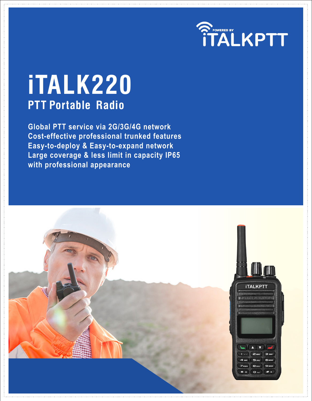

# **iTALK220 PTT Portable Radio**

**Global PTT service via 2G/3G/4G network Cost-effective professional trunked features Easy-to-deploy & Easy-to-expand network Large coverage & less limit in capacity IP65 with professional appearance**